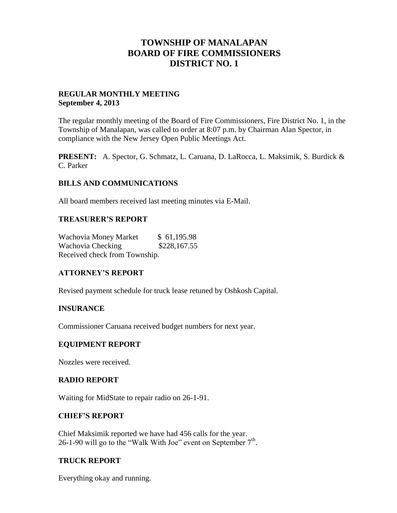### **TOWNSHIP OF MANALAPAN BOARD OF FIRE COMMISSIONERS DISTRICT NO. 1**

#### **REGULAR MONTHLY MEETING September 4, 2013**

The regular monthly meeting of the Board of Fire Commissioners, Fire District No. 1, in the Township of Manalapan, was called to order at 8:07 p.m. by Chairman Alan Spector, in compliance with the New Jersey Open Public Meetings Act.

**PRESENT:** A. Spector, G. Schmatz, L. Caruana, D. LaRocca, L. Maksimik, S. Burdick & C. Parker

#### **BILLS AND COMMUNICATIONS**

All board members received last meeting minutes via E-Mail.

#### **TREASURER'S REPORT**

Wachovia Money Market \$ 61,195.98 Wachovia Checking  $$228,167.55$ Received check from Township.

### **ATTORNEY'S REPORT**

Revised payment schedule for truck lease retuned by Oshkosh Capital.

#### **INSURANCE**

Commissioner Caruana received budget numbers for next year.

#### **EQUIPMENT REPORT**

Nozzles were received.

#### **RADIO REPORT**

Waiting for MidState to repair radio on 26-1-91.

#### **CHIEF'S REPORT**

Chief Maksimik reported we have had 456 calls for the year. 26-1-90 will go to the "Walk With Joe" event on September  $7<sup>th</sup>$ .

#### **TRUCK REPORT**

Everything okay and running.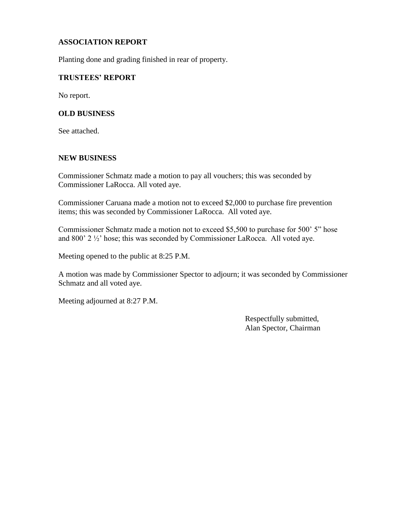#### **ASSOCIATION REPORT**

Planting done and grading finished in rear of property.

#### **TRUSTEES' REPORT**

No report.

#### **OLD BUSINESS**

See attached.

#### **NEW BUSINESS**

Commissioner Schmatz made a motion to pay all vouchers; this was seconded by Commissioner LaRocca. All voted aye.

Commissioner Caruana made a motion not to exceed \$2,000 to purchase fire prevention items; this was seconded by Commissioner LaRocca. All voted aye.

Commissioner Schmatz made a motion not to exceed \$5,500 to purchase for 500' 5" hose and 800' 2 ½' hose; this was seconded by Commissioner LaRocca. All voted aye.

Meeting opened to the public at 8:25 P.M.

A motion was made by Commissioner Spector to adjourn; it was seconded by Commissioner Schmatz and all voted aye.

Meeting adjourned at 8:27 P.M.

 Respectfully submitted, Alan Spector, Chairman